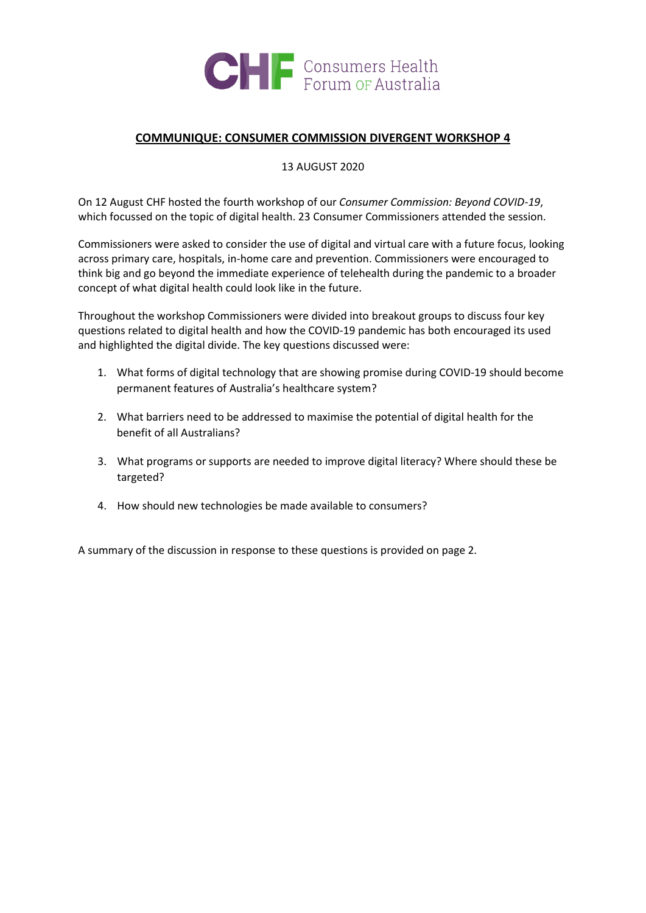

## **COMMUNIQUE: CONSUMER COMMISSION DIVERGENT WORKSHOP 4**

13 AUGUST 2020

On 12 August CHF hosted the fourth workshop of our *Consumer Commission: Beyond COVID-19*, which focussed on the topic of digital health. 23 Consumer Commissioners attended the session.

Commissioners were asked to consider the use of digital and virtual care with a future focus, looking across primary care, hospitals, in-home care and prevention. Commissioners were encouraged to think big and go beyond the immediate experience of telehealth during the pandemic to a broader concept of what digital health could look like in the future.

Throughout the workshop Commissioners were divided into breakout groups to discuss four key questions related to digital health and how the COVID-19 pandemic has both encouraged its used and highlighted the digital divide. The key questions discussed were:

- 1. What forms of digital technology that are showing promise during COVID-19 should become permanent features of Australia's healthcare system?
- 2. What barriers need to be addressed to maximise the potential of digital health for the benefit of all Australians?
- 3. What programs or supports are needed to improve digital literacy? Where should these be targeted?
- 4. How should new technologies be made available to consumers?

A summary of the discussion in response to these questions is provided on page 2.